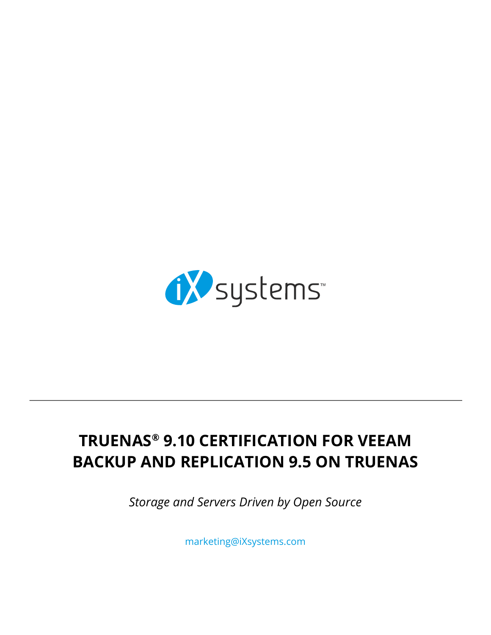

# **TRUENAS® 9.10 CERTIFICATION FOR VEEAM BACKUP AND REPLICATION 9.5 ON TRUENAS**

*Storage and Servers Driven by Open Source*

[marketing@iXsystems.com](mailto:marketing%40iXsystems.com?subject=)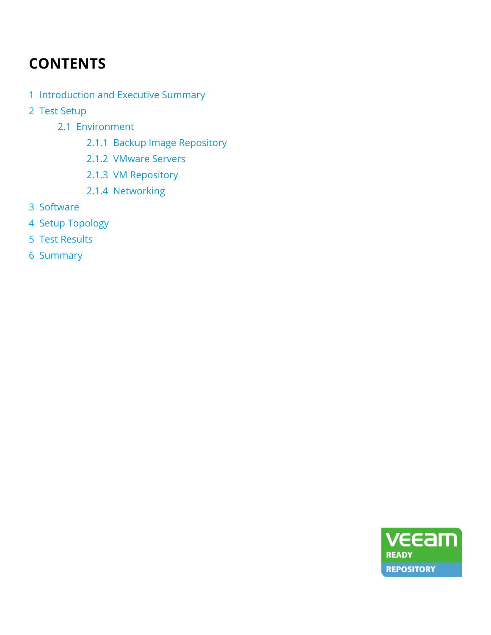# **CONTENTS**

- [1 Introduction and Executive Summary](#page-2-0)
- [2 Test Setup](#page-2-0)
	- [2.1 Environment](#page-3-0)
		- [2.1.1 Backup Image Repository](#page-3-0)
		- [2.1.2 VMware Servers](#page-3-0)
		- [2.1.3 VM Repository](#page-3-0)
		- [2.1.4 Networking](#page-3-0)
- [3 Software](#page-3-0)
- [4 Setup Topology](#page-4-0)
- [5 Test Results](#page-5-0)
- [6 Summary](#page-8-0)

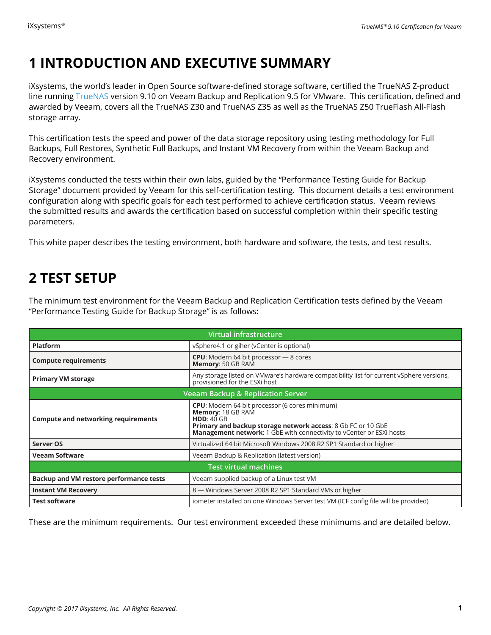## <span id="page-2-0"></span>**1 INTRODUCTION AND EXECUTIVE SUMMARY**

iXsystems, the world's leader in Open Source software-defined storage software, certified the TrueNAS Z-product line running [TrueNAS](https://www.ixsystems.com/truenas/) version 9.10 on Veeam Backup and Replication 9.5 for VMware. This certification, defined and awarded by Veeam, covers all the TrueNAS Z30 and TrueNAS Z35 as well as the TrueNAS Z50 TrueFlash All-Flash storage array.

This certification tests the speed and power of the data storage repository using testing methodology for Full Backups, Full Restores, Synthetic Full Backups, and Instant VM Recovery from within the Veeam Backup and Recovery environment.

iXsystems conducted the tests within their own labs, guided by the "Performance Testing Guide for Backup Storage" document provided by Veeam for this self-certification testing. This document details a test environment configuration along with specific goals for each test performed to achieve certification status. Veeam reviews the submitted results and awards the certification based on successful completion within their specific testing parameters.

This white paper describes the testing environment, both hardware and software, the tests, and test results.

### **2 TEST SETUP**

The minimum test environment for the Veeam Backup and Replication Certification tests defined by the Veeam "Performance Testing Guide for Backup Storage" is as follows:

| Virtual infrastructure                         |                                                                                                                                                                                                                                  |  |  |  |
|------------------------------------------------|----------------------------------------------------------------------------------------------------------------------------------------------------------------------------------------------------------------------------------|--|--|--|
| <b>Platform</b>                                | vSphere4.1 or giher (vCenter is optional)                                                                                                                                                                                        |  |  |  |
| <b>Compute requirements</b>                    | <b>CPU:</b> Modern 64 bit processor - 8 cores<br>Memory: 50 GB RAM                                                                                                                                                               |  |  |  |
| <b>Primary VM storage</b>                      | Any storage listed on VMware's hardware compatibility list for current vSphere versions,<br>provisioned for the ESXi host                                                                                                        |  |  |  |
| <b>Veeam Backup &amp; Replication Server</b>   |                                                                                                                                                                                                                                  |  |  |  |
| <b>Compute and networking requirements</b>     | <b>CPU:</b> Modern 64 bit processor (6 cores minimum)<br>Memory: 18 GB RAM<br>HDD: 40 GB<br>Primary and backup storage network access: 8 Gb FC or 10 GbE<br>Management network: 1 GbE with connectivity to vCenter or ESXi hosts |  |  |  |
| <b>Server OS</b>                               | Virtualized 64 bit Microsoft Windows 2008 R2 SP1 Standard or higher                                                                                                                                                              |  |  |  |
| <b>Veeam Software</b>                          | Veeam Backup & Replication (latest version)                                                                                                                                                                                      |  |  |  |
| <b>Test virtual machines</b>                   |                                                                                                                                                                                                                                  |  |  |  |
| <b>Backup and VM restore performance tests</b> | Veeam supplied backup of a Linux test VM                                                                                                                                                                                         |  |  |  |
| <b>Instant VM Recovery</b>                     | 8 - Windows Server 2008 R2 SP1 Standard VMs or higher                                                                                                                                                                            |  |  |  |
| <b>Test software</b>                           | iometer installed on one Windows Server test VM (ICF config file will be provided)                                                                                                                                               |  |  |  |

These are the minimum requirements. Our test environment exceeded these minimums and are detailed below.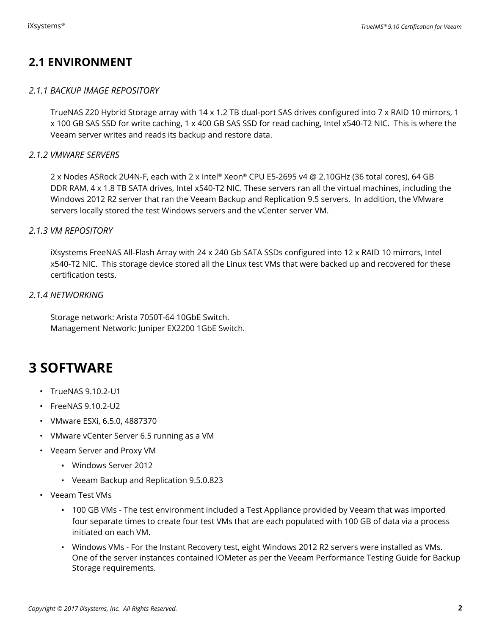### <span id="page-3-0"></span>**2.1 ENVIRONMENT**

#### *2.1.1 BACKUP IMAGE REPOSITORY*

TrueNAS Z20 Hybrid Storage array with 14 x 1.2 TB dual-port SAS drives configured into 7 x RAID 10 mirrors, 1 x 100 GB SAS SSD for write caching, 1 x 400 GB SAS SSD for read caching, Intel x540-T2 NIC. This is where the Veeam server writes and reads its backup and restore data.

#### *2.1.2 VMWARE SERVERS*

2 x Nodes ASRock 2U4N-F, each with 2 x Intel® Xeon® CPU E5-2695 v4 @ 2.10GHz (36 total cores), 64 GB DDR RAM, 4 x 1.8 TB SATA drives, Intel x540-T2 NIC. These servers ran all the virtual machines, including the Windows 2012 R2 server that ran the Veeam Backup and Replication 9.5 servers. In addition, the VMware servers locally stored the test Windows servers and the vCenter server VM.

#### *2.1.3 VM REPOSITORY*

iXsystems FreeNAS All-Flash Array with 24 x 240 Gb SATA SSDs configured into 12 x RAID 10 mirrors, Intel x540-T2 NIC. This storage device stored all the Linux test VMs that were backed up and recovered for these certification tests.

#### *2.1.4 NETWORKING*

Storage network: Arista 7050T-64 10GbE Switch. Management Network: Juniper EX2200 1GbE Switch.

### **3 SOFTWARE**

- TrueNAS 9.10.2-U1
- FreeNAS 9.10.2-U2
- VMware ESXi, 6.5.0, 4887370
- VMware vCenter Server 6.5 running as a VM
- Veeam Server and Proxy VM
	- Windows Server 2012
	- Veeam Backup and Replication 9.5.0.823
- Veeam Test VMs
	- 100 GB VMs The test environment included a Test Appliance provided by Veeam that was imported four separate times to create four test VMs that are each populated with 100 GB of data via a process initiated on each VM.
	- Windows VMs For the Instant Recovery test, eight Windows 2012 R2 servers were installed as VMs. One of the server instances contained IOMeter as per the Veeam Performance Testing Guide for Backup Storage requirements.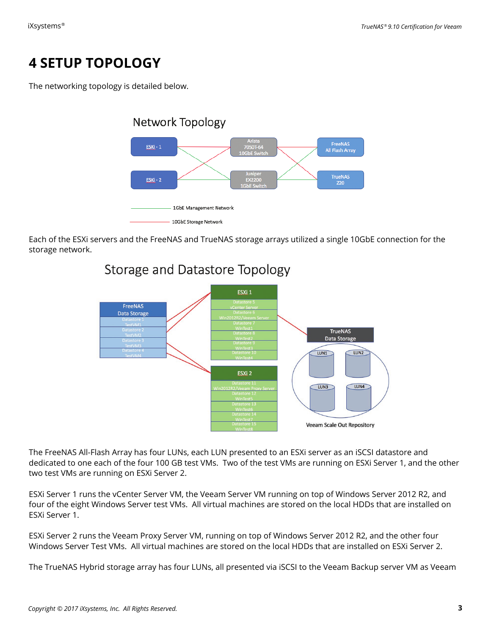## <span id="page-4-0"></span>**4 SETUP TOPOLOGY**

The networking topology is detailed below.



Each of the ESXi servers and the FreeNAS and TrueNAS storage arrays utilized a single 10GbE connection for the storage network.



### Storage and Datastore Topology

The FreeNAS All-Flash Array has four LUNs, each LUN presented to an ESXi server as an iSCSI datastore and dedicated to one each of the four 100 GB test VMs. Two of the test VMs are running on ESXi Server 1, and the other two test VMs are running on ESXi Server 2.

ESXi Server 1 runs the vCenter Server VM, the Veeam Server VM running on top of Windows Server 2012 R2, and four of the eight Windows Server test VMs. All virtual machines are stored on the local HDDs that are installed on ESXi Server 1.

ESXi Server 2 runs the Veeam Proxy Server VM, running on top of Windows Server 2012 R2, and the other four Windows Server Test VMs. All virtual machines are stored on the local HDDs that are installed on ESXi Server 2.

The TrueNAS Hybrid storage array has four LUNs, all presented via iSCSI to the Veeam Backup server VM as Veeam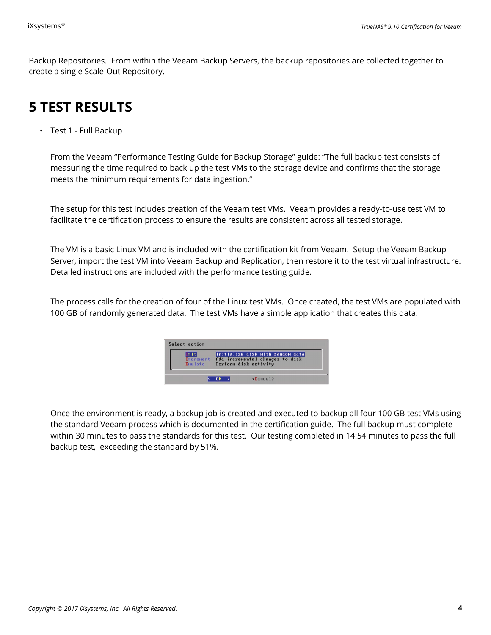<span id="page-5-0"></span>Backup Repositories. From within the Veeam Backup Servers, the backup repositories are collected together to create a single Scale-Out Repository.

## **5 TEST RESULTS**

• Test 1 - Full Backup

From the Veeam "Performance Testing Guide for Backup Storage" guide: "The full backup test consists of measuring the time required to back up the test VMs to the storage device and confirms that the storage meets the minimum requirements for data ingestion."

The setup for this test includes creation of the Veeam test VMs. Veeam provides a ready-to-use test VM to facilitate the certification process to ensure the results are consistent across all tested storage.

The VM is a basic Linux VM and is included with the certification kit from Veeam. Setup the Veeam Backup Server, import the test VM into Veeam Backup and Replication, then restore it to the test virtual infrastructure. Detailed instructions are included with the performance testing guide.

The process calls for the creation of four of the Linux test VMs. Once created, the test VMs are populated with 100 GB of randomly generated data. The test VMs have a simple application that creates this data.

| Init<br>Initialize disk with random data<br>Increment<br>Add incremental changes to disk<br>Perform disk activity<br>Emulate |
|------------------------------------------------------------------------------------------------------------------------------|
|------------------------------------------------------------------------------------------------------------------------------|

Once the environment is ready, a backup job is created and executed to backup all four 100 GB test VMs using the standard Veeam process which is documented in the certification guide. The full backup must complete within 30 minutes to pass the standards for this test. Our testing completed in 14:54 minutes to pass the full backup test, exceeding the standard by 51%.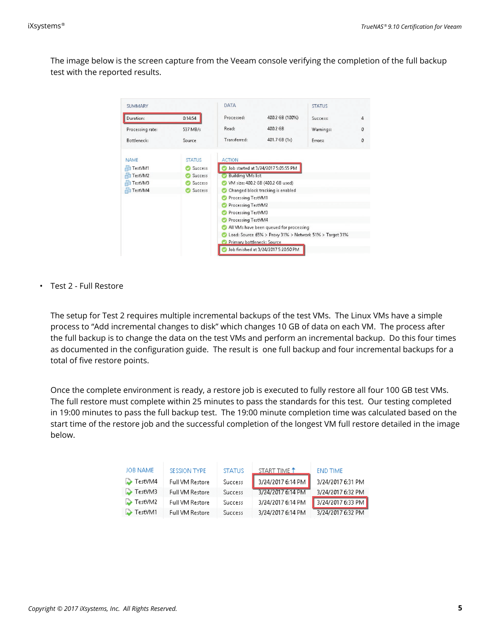The image below is the screen capture from the Veeam console verifying the completion of the full backup test with the reported results.

| <b>SUMMARY</b>   |                | <b>DATA</b>                                                                                        |                                      | <b>STATUS</b> |   |
|------------------|----------------|----------------------------------------------------------------------------------------------------|--------------------------------------|---------------|---|
| Duration:        | 0:14:54        | Processed:                                                                                         | 400.2 GB (100%)                      | Success:      | 4 |
| Processing rate: | 537 MB/s       | Read:                                                                                              | 400.2 GB                             | Warnings:     | 0 |
| Bottleneck:      | Source         | Transferred:                                                                                       | 401.7 GB $(1x)$                      | Errors:       | 0 |
| <b>NAME</b>      | <b>STATUS</b>  | <b>ACTION</b>                                                                                      |                                      |               |   |
| TestVM1          | Success        |                                                                                                    | Job started at 3/24/2017 5:05:55 PM  |               |   |
| TestVM2          | Success        | <b>Building VMs list</b>                                                                           |                                      |               |   |
| TestVM3          | Success        | VM size: 400.2 GB (400.2 GB used)                                                                  |                                      |               |   |
| TestVM4          | <b>Success</b> |                                                                                                    | Changed block tracking is enabled    |               |   |
|                  |                | Processing TestVM1                                                                                 |                                      |               |   |
|                  |                | Processing TestVM2                                                                                 |                                      |               |   |
|                  |                | Processing TestVM3                                                                                 |                                      |               |   |
|                  |                | Processing TestVM4                                                                                 |                                      |               |   |
|                  |                | All VMs have been queued for processing<br>Load: Source 65% > Proxy 31% > Network 51% > Target 31% |                                      |               |   |
|                  |                |                                                                                                    |                                      |               |   |
|                  |                | Primary bottleneck: Source                                                                         |                                      |               |   |
|                  |                |                                                                                                    | Job finished at 3/24/2017 5:20:50 PM |               |   |

• Test 2 - Full Restore

The setup for Test 2 requires multiple incremental backups of the test VMs. The Linux VMs have a simple process to "Add incremental changes to disk" which changes 10 GB of data on each VM. The process after the full backup is to change the data on the test VMs and perform an incremental backup. Do this four times as documented in the configuration guide. The result is one full backup and four incremental backups for a total of five restore points.

Once the complete environment is ready, a restore job is executed to fully restore all four 100 GB test VMs. The full restore must complete within 25 minutes to pass the standards for this test. Our testing completed in 19:00 minutes to pass the full backup test. The 19:00 minute completion time was calculated based on the start time of the restore job and the successful completion of the longest VM full restore detailed in the image below.

| JOB NAME              | SESSION TYPE           | <b>STATUS</b>  | START TIME <sup>+</sup> | END TIME          |
|-----------------------|------------------------|----------------|-------------------------|-------------------|
| $\rightarrow$ TestVM4 | Full VM Restore        | Success        | 3/24/2017 6:14 PM       | 3/24/2017 6:31 PM |
| $\rightarrow$ TestVM3 | <b>Full VM Restore</b> | <b>Success</b> | 3/24/2017 6:14 PM       | 3/24/2017 6:32 PM |
| $\rightarrow$ TestVM2 | Full VM Restore        | <b>Success</b> | 3/24/2017 6:14 PM       | 3/24/2017 6:33 PM |
| TestVM1               | <b>Full VM Restore</b> | <b>Success</b> | 3/24/2017 6:14 PM       | 3/24/2017 6:32 PM |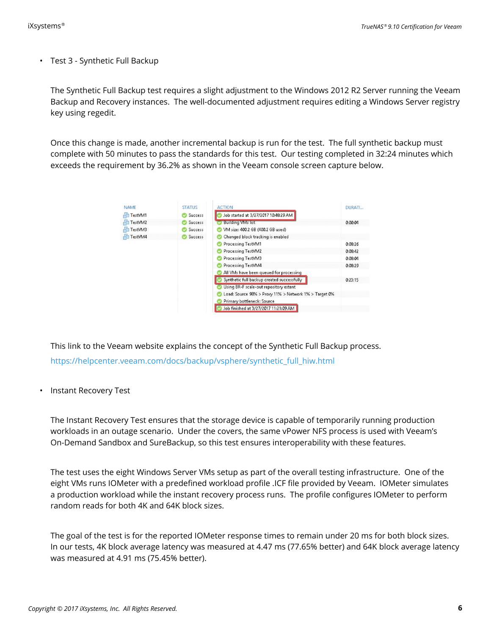• Test 3 - Synthetic Full Backup

The Synthetic Full Backup test requires a slight adjustment to the Windows 2012 R2 Server running the Veeam Backup and Recovery instances. The well-documented adjustment requires editing a Windows Server registry key using regedit.

Once this change is made, another incremental backup is run for the test. The full synthetic backup must complete with 50 minutes to pass the standards for this test. Our testing completed in 32:24 minutes which exceeds the requirement by 36.2% as shown in the Veeam console screen capture below.

| <b>NAME</b> | <b>STATUS</b>  | <b>ACTION</b>                                         | DURATI  |
|-------------|----------------|-------------------------------------------------------|---------|
| TestVM1     | <b>Success</b> | Job started at 3/27/2017 10:48:29 AM                  |         |
| TestVM2     | <b>Success</b> | <b>Building VMs list</b>                              | 0:00:04 |
| TestVM3     | <b>Success</b> | VM size: 400.2 GB (400.2 GB used)                     |         |
| TestVM4     | <b>Success</b> | Changed block tracking is enabled                     |         |
|             |                | Processing TestVM1                                    | 0:08:26 |
|             |                | Processing TestVM2                                    | 0:08:42 |
|             |                | Processing TestVM3                                    | 0:08:04 |
|             |                | Processing TestVM4                                    | 0:08:29 |
|             |                | All VMs have been queued for processing               |         |
|             |                | Synthetic full backup created successfully            | 0:23:15 |
|             |                | Using BR-F scale-out repository extent                |         |
|             |                | Load: Source 98% > Proxy 11% > Network 1% > Target 0% |         |
|             |                | Primary bottleneck: Source                            |         |
|             |                | Job finished at 3/27/2017 11:21:09 AM                 |         |

This link to the Veeam website explains the concept of the Synthetic Full Backup process. [https://helpcenter.veeam.com/docs/backup/vsphere/synthetic\\_full\\_hiw.html](https://helpcenter.veeam.com/docs/backup/vsphere/synthetic_full_hiw.html)

• Instant Recovery Test

The Instant Recovery Test ensures that the storage device is capable of temporarily running production workloads in an outage scenario. Under the covers, the same vPower NFS process is used with Veeam's On-Demand Sandbox and SureBackup, so this test ensures interoperability with these features.

The test uses the eight Windows Server VMs setup as part of the overall testing infrastructure. One of the eight VMs runs IOMeter with a predefined workload profile .ICF file provided by Veeam. IOMeter simulates a production workload while the instant recovery process runs. The profile configures IOMeter to perform random reads for both 4K and 64K block sizes.

The goal of the test is for the reported IOMeter response times to remain under 20 ms for both block sizes. In our tests, 4K block average latency was measured at 4.47 ms (77.65% better) and 64K block average latency was measured at 4.91 ms (75.45% better).